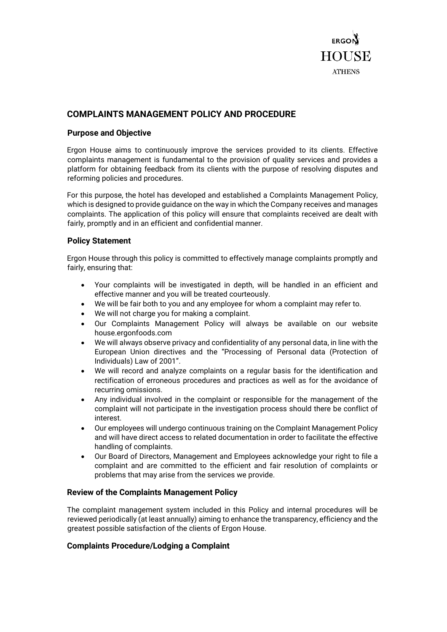

# **COMPLAINTS MANAGEMENT POLICY AND PROCEDURE**

#### **Purpose and Objective**

Ergon House aims to continuously improve the services provided to its clients. Effective complaints management is fundamental to the provision of quality services and provides a platform for obtaining feedback from its clients with the purpose of resolving disputes and reforming policies and procedures.

For this purpose, the hotel has developed and established a Complaints Management Policy, which is designed to provide guidance on the way in which the Company receives and manages complaints. The application of this policy will ensure that complaints received are dealt with fairly, promptly and in an efficient and confidential manner.

#### **Policy Statement**

Ergon House through this policy is committed to effectively manage complaints promptly and fairly, ensuring that:

- Your complaints will be investigated in depth, will be handled in an efficient and effective manner and you will be treated courteously.
- We will be fair both to you and any employee for whom a complaint may refer to.
- We will not charge you for making a complaint.
- Our Complaints Management Policy will always be available on our website house.ergonfoods.com
- We will always observe privacy and confidentiality of any personal data, in line with the European Union directives and the "Processing of Personal data (Protection of Individuals) Law of 2001".
- We will record and analyze complaints on a regular basis for the identification and rectification of erroneous procedures and practices as well as for the avoidance of recurring omissions.
- Any individual involved in the complaint or responsible for the management of the complaint will not participate in the investigation process should there be conflict of interest.
- Our employees will undergo continuous training on the Complaint Management Policy and will have direct access to related documentation in order to facilitate the effective handling of complaints.
- Our Board of Directors, Management and Employees acknowledge your right to file a complaint and are committed to the efficient and fair resolution of complaints or problems that may arise from the services we provide.

### **Review of the Complaints Management Policy**

The complaint management system included in this Policy and internal procedures will be reviewed periodically (at least annually) aiming to enhance the transparency, efficiency and the greatest possible satisfaction of the clients of Ergon House.

### **Complaints Procedure/Lodging a Complaint**